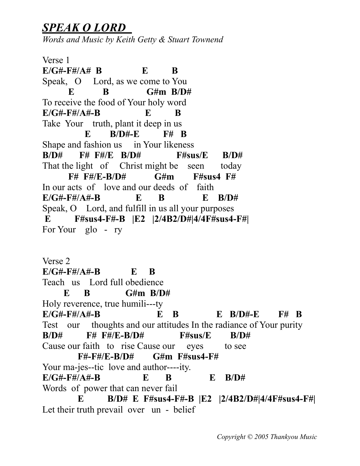## *SPEAK O LORD*

*Words and Music by Keith Getty & Stuart Townend*

Verse 1  $E/G# - F#/A# B$   $E \t B$ Speak, O Lord, as we come to You **E B** G#m B/D# To receive the food of Your holy word **E/G#-F#/A#-B E B**  Take Your truth, plant it deep in us  **E B/D#-E F# B**  Shape and fashion us in Your likeness **B/D# F# F#/E B/D# F#sus/E B/D#**  That the light of Christ might be seen today  **F# F#/E-B/D# G#m F#sus4 F#**  In our acts of love and our deeds of faith **E/G#-F#/A#-B E B E B/D#**  Speak, O Lord, and fulfill in us all your purposes  **E F#sus4-F#-B |E2 |2/4B2/D#|4/4F#sus4-F#|**  For Your glo - ry

Verse 2 **E/G#-F#/A#-B E B**  Teach us Lord full obedience  **E B G#m B/D#**  Holy reverence, true humili---ty **E/G#-F#/A#-B E B E B/D#-E F# B**  Test our thoughts and our attitudes In the radiance of Your purity **B/D# F# F#/E-B/D# F#sus/E B/D#**  Cause our faith to rise Cause our eyes to see  **F#-F#/E-B/D# G#m F#sus4-F#**  Your ma-jes--tic love and author----ity. **E/G#-F#/A#-B E B E B/D#**  Words of power that can never fail  **E B/D# E F#sus4-F#-B |E2 |2/4B2/D#|4/4F#sus4-F#|**  Let their truth prevail over un - belief